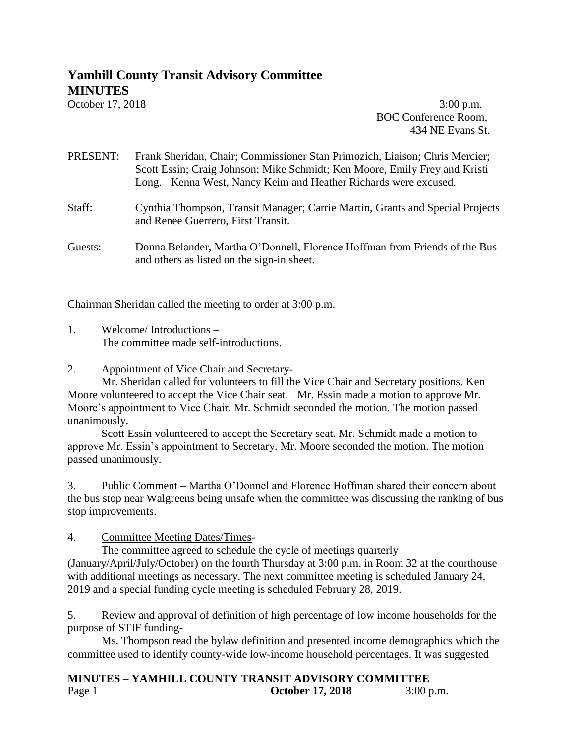# **Yamhill County Transit Advisory Committee MINUTES**

October 17, 2018 **3:00 p.m.** BOC Conference Room, 434 NE Evans St.

## PRESENT: Frank Sheridan, Chair; Commissioner Stan Primozich, Liaison; Chris Mercier; Scott Essin; Craig Johnson; Mike Schmidt; Ken Moore, Emily Frey and Kristi Long. Kenna West, Nancy Keim and Heather Richards were excused.

#### Staff: Cynthia Thompson, Transit Manager; Carrie Martin, Grants and Special Projects and Renee Guerrero, First Transit.

Guests: Donna Belander, Martha O'Donnell, Florence Hoffman from Friends of the Bus and others as listed on the sign-in sheet.

Chairman Sheridan called the meeting to order at 3:00 p.m.

1. Welcome/ Introductions – The committee made self-introductions.

## 2. Appointment of Vice Chair and Secretary-

Mr. Sheridan called for volunteers to fill the Vice Chair and Secretary positions. Ken Moore volunteered to accept the Vice Chair seat. Mr. Essin made a motion to approve Mr. Moore's appointment to Vice Chair. Mr. Schmidt seconded the motion. The motion passed unanimously.

Scott Essin volunteered to accept the Secretary seat. Mr. Schmidt made a motion to approve Mr. Essin's appointment to Secretary. Mr. Moore seconded the motion. The motion passed unanimously.

3. Public Comment – Martha O'Donnel and Florence Hoffman shared their concern about the bus stop near Walgreens being unsafe when the committee was discussing the ranking of bus stop improvements.

## 4. Committee Meeting Dates/Times-

The committee agreed to schedule the cycle of meetings quarterly

(January/April/July/October) on the fourth Thursday at 3:00 p.m. in Room 32 at the courthouse with additional meetings as necessary. The next committee meeting is scheduled January 24, 2019 and a special funding cycle meeting is scheduled February 28, 2019.

5. Review and approval of definition of high percentage of low income households for the purpose of STIF funding-

Ms. Thompson read the bylaw definition and presented income demographics which the committee used to identify county-wide low-income household percentages. It was suggested

#### **MINUTES – YAMHILL COUNTY TRANSIT ADVISORY COMMITTEE** Page 1 **October 17, 2018** 3:00 p.m.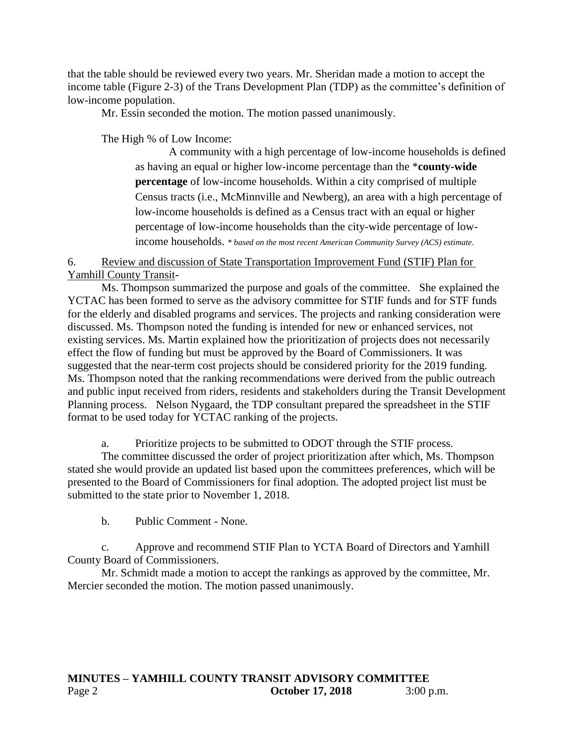that the table should be reviewed every two years. Mr. Sheridan made a motion to accept the income table (Figure 2-3) of the Trans Development Plan (TDP) as the committee's definition of low-income population.

Mr. Essin seconded the motion. The motion passed unanimously.

The High % of Low Income:

A community with a high percentage of low-income households is defined as having an equal or higher low-income percentage than the \***county-wide percentage** of low-income households. Within a city comprised of multiple Census tracts (i.e., McMinnville and Newberg), an area with a high percentage of low-income households is defined as a Census tract with an equal or higher percentage of low-income households than the city-wide percentage of lowincome households. *\* based on the most recent American Community Survey (ACS) estimate.*

6. Review and discussion of State Transportation Improvement Fund (STIF) Plan for Yamhill County Transit**-**

Ms. Thompson summarized the purpose and goals of the committee. She explained the YCTAC has been formed to serve as the advisory committee for STIF funds and for STF funds for the elderly and disabled programs and services. The projects and ranking consideration were discussed. Ms. Thompson noted the funding is intended for new or enhanced services, not existing services. Ms. Martin explained how the prioritization of projects does not necessarily effect the flow of funding but must be approved by the Board of Commissioners. It was suggested that the near-term cost projects should be considered priority for the 2019 funding. Ms. Thompson noted that the ranking recommendations were derived from the public outreach and public input received from riders, residents and stakeholders during the Transit Development Planning process. Nelson Nygaard, the TDP consultant prepared the spreadsheet in the STIF format to be used today for YCTAC ranking of the projects.

a. Prioritize projects to be submitted to ODOT through the STIF process.

The committee discussed the order of project prioritization after which, Ms. Thompson stated she would provide an updated list based upon the committees preferences, which will be presented to the Board of Commissioners for final adoption. The adopted project list must be submitted to the state prior to November 1, 2018.

b. Public Comment - None.

c. Approve and recommend STIF Plan to YCTA Board of Directors and Yamhill County Board of Commissioners.

Mr. Schmidt made a motion to accept the rankings as approved by the committee, Mr. Mercier seconded the motion. The motion passed unanimously.